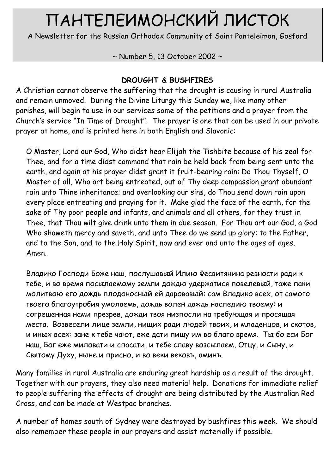# ПАНТЕЛЕИМОНСКИЙ ЛИСТОК

A Newsletter for the Russian Orthodox Community of Saint Panteleimon, Gosford

# ~ Number 5, 13 October 2002 ~

# DROUGHT & BUSHFIRES

A Christian cannot observe the suffering that the drought is causing in rural Australia and remain unmoved. During the Divine Liturgy this Sunday we, like many other parishes, will begin to use in our services some of the petitions and a prayer from the Church's service "In Time of Drought". The prayer is one that can be used in our private prayer at home, and is printed here in both English and Slavonic:

O Master, Lord our God, Who didst hear Elijah the Tishbite because of his zeal for Thee, and for a time didst command that rain be held back from being sent unto the earth, and again at his prayer didst grant it fruit-bearing rain: Do Thou Thyself, O Master of all, Who art being entreated, out of Thy deep compassion grant abundant rain unto Thine inheritance; and overlooking our sins, do Thou send down rain upon every place entreating and praying for it. Make glad the face of the earth, for the sake of Thy poor people and infants, and animals and all others, for they trust in Thee, that Thou wilt give drink unto them in due season. For Thou art our God, a God Who showeth mercy and saveth, and unto Thee do we send up glory: to the Father, and to the Son, and to the Holy Spirit, now and ever and unto the ages of ages. Amen.

Владико Господи Боже наш, послушавый Илию Фесвитянина ревности ради к тебе, и во время посылаемому земли дождю удержатися повелевый, таже паки молитвою его дождь плодоносный ей даровавый: сам Владико всех, от самого твоего благоутробия умолаемь, дождь волен даждь наследию твоему: и согрешенная нами презрев, дожди твоя низпосли на требующая и просящая места. Возвесели лице земли, нищих ради людей твоих, и младенцов, и скотов, и иных всех: зане к тебе чают, еже дати пищу им во благо время. Ты бо еси Бог наш, Бог еже миловати и спасати, и тебе славу возсылаем, Отцу, и Сыну, и Святому Духу, ныне и присно, и во веки вековъ, аминъ.

Many families in rural Australia are enduring great hardship as a result of the drought. Together with our prayers, they also need material help. Donations for immediate relief to people suffering the effects of drought are being distributed by the Australian Red Cross, and can be made at Westpac branches.

A number of homes south of Sydney were destroyed by bushfires this week. We should also remember these people in our prayers and assist materially if possible.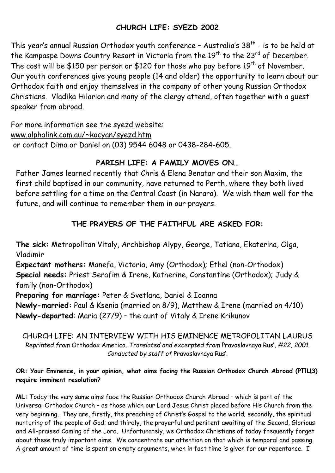## CHURCH LIFE: SYEZD 2002

This year's annual Russian Orthodox youth conference - Australia's 38<sup>th</sup> - is to be held at the Kampaspe Downs Country Resort in Victoria from the 19<sup>th</sup> to the 23<sup>rd</sup> of December. The cost will be \$150 per person or \$120 for those who pay before  $19<sup>th</sup>$  of November. Our youth conferences give young people (14 and older) the opportunity to learn about our Orthodox faith and enjoy themselves in the company of other young Russian Orthodox Christians. Vladika Hilarion and many of the clergy attend, often together with a guest speaker from abroad.

For more information see the syezd website: www.alphalink.com.au/~kocyan/syezd.htm or contact Dima or Daniel on (03) 9544 6048 or 0438-284-605.

## PARISH LIFE: A FAMILY MOVES ON…

Father James learned recently that Chris & Elena Benatar and their son Maxim, the first child baptised in our community, have returned to Perth, where they both lived before settling for a time on the Central Coast (in Narara). We wish them well for the future, and will continue to remember them in our prayers.

# THE PRAYERS OF THE FAITHFUL ARE ASKED FOR:

The sick: Metropolitan Vitaly, Archbishop Alypy, George, Tatiana, Ekaterina, Olga, Vladimir

Expectant mothers: Manefa, Victoria, Amy (Orthodox); Ethel (non-Orthodox) Special needs: Priest Serafim & Irene, Katherine, Constantine (Orthodox); Judy & family (non-Orthodox)

Preparing for marriage: Peter & Svetlana, Daniel & Ioanna

Newly-married: Paul & Ksenia (married on 8/9), Matthew & Irene (married on 4/10) Newly-departed: Maria (27/9) – the aunt of Vitaly & Irene Krikunov

CHURCH LIFE: AN INTERVIEW WITH HIS EMINENCE METROPOLITAN LAURUS Reprinted from Orthodox America. Translated and excerpted from Pravoslavnaya Rus', #22, 2001. Conducted by staff of Pravoslavnaya Rus'.

#### OR: Your Eminence, in your opinion, what aims facing the Russian Orthodox Church Abroad (РПЦЗ) require imminent resolution?

ML: Today the very same aims face the Russian Orthodox Church Abroad – which is part of the Universal Orthodox Church – as those which our Lord Jesus Christ placed before His Church from the very beginning. They are, firstly, the preaching of Christ's Gospel to the world; secondly, the spiritual nurturing of the people of God; and thirdly, the prayerful and penitent awaiting of the Second, Glorious and All-praised Coming of the Lord. Unfortunately, we Orthodox Christians of today frequently forget about these truly important aims. We concentrate our attention on that which is temporal and passing. A great amount of time is spent on empty arguments, when in fact time is given for our repentance. I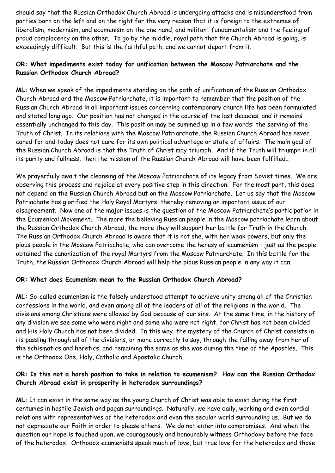should say that the Russian Orthodox Church Abroad is undergoing attacks and is misunderstood from parties born on the left and on the right for the very reason that it is foreign to the extremes of liberalism, modernism, and ecumenism on the one hand, and militant fundamentalism and the feeling of proud complacency on the other. To go by the middle, royal path that the Church Abroad is going, is exceedingly difficult. But this is the faithful path, and we cannot depart from it.

#### OR: What impediments exist today for unification between the Moscow Patriarchate and the Russian Orthodox Church Abroad?

ML: When we speak of the impediments standing on the path of unification of the Russian Orthodox Church Abroad and the Moscow Patriarchate, it is important to remember that the position of the Russian Church Abroad in all important issues concerning contemporary church life has been formulated and stated long ago. Our position has not changed in the course of the last decades, and it remains essentially unchanged to this day. This position may be summed up in a few words: the serving of the Truth of Christ. In its relations with the Moscow Patriarchate, the Russian Church Abroad has never cared for and today does not care for its own political advantage or state of affairs. The main goal of the Russian Church Abroad is that the Truth of Christ may triumph. And if the Truth will triumph in all its purity and fullness, then the mission of the Russian Church Abroad will have been fulfilled…

We prayerfully await the cleansing of the Moscow Patriarchate of its legacy from Soviet times. We are observing this process and rejoice at every positive step in this direction. For the most part, this does not depend on the Russian Church Abroad but on the Moscow Patriarchate. Let us say that the Moscow Patriachate has glorified the Holy Royal Martyrs, thereby removing an important issue of our disagreement. Now one of the major issues is the question of the Moscow Patriarchate's participation in the Ecumenical Movement. The more the believing Russian people in the Moscow patriachate learn about the Russian Orthodox Church Abroad, the more they will support her battle for Truth in the Church. The Russian Orthodox Church Abroad is aware that it is not she, with her weak powers, but only the pious people in the Moscow Patriachate, who can overcome the heresy of ecumenism – just as the people obtained the canonization of the royal Martyrs from the Moscow Patriarchate. In this battle for the Truth, the Russian Orthodox Church Abroad will help the pious Russian people in any way it can.

#### OR: What does Ecumenism mean to the Russian Orthodox Church Abroad?

ML: So-called ecumenism is the falsely understood attempt to achieve unity among all of the Christian confessions in the world, and even among all of the leaders of all of the religions in the world. The divisions among Christians were allowed by God because of our sins. At the same time, in the history of any division we see some who were right and some who were not right, for Christ has not been divided and His Holy Church has not been divided. In this way, the mystery of the Church of Christ consists in its passing through all of the divisions, or more correctly to say, through the falling away from her of the schismatics and heretics, and remaining the same as she was during the time of the Apostles. This is the Orthodox One, Holy, Catholic and Apostolic Church.

#### OR: Is this not a harsh position to take in relation to ecumenism? How can the Russian Orthodox Church Abroad exist in prosperity in heterodox surroundings?

ML: It can exist in the same way as the young Church of Christ was able to exist during the first centuries in hostile Jewish and pagan surroundings. Naturally, we have daily, working and even cordial relations with representatives of the heterodox and even the secular world surrounding us. But we do not depreciate our Faith in order to please others. We do not enter into compromises. And when the question our hope is touched upon, we courageously and honourably witness Orthodoxy before the face of the heterodox. Orthodox ecumenists speak much of love, but true love for the heterodox and those